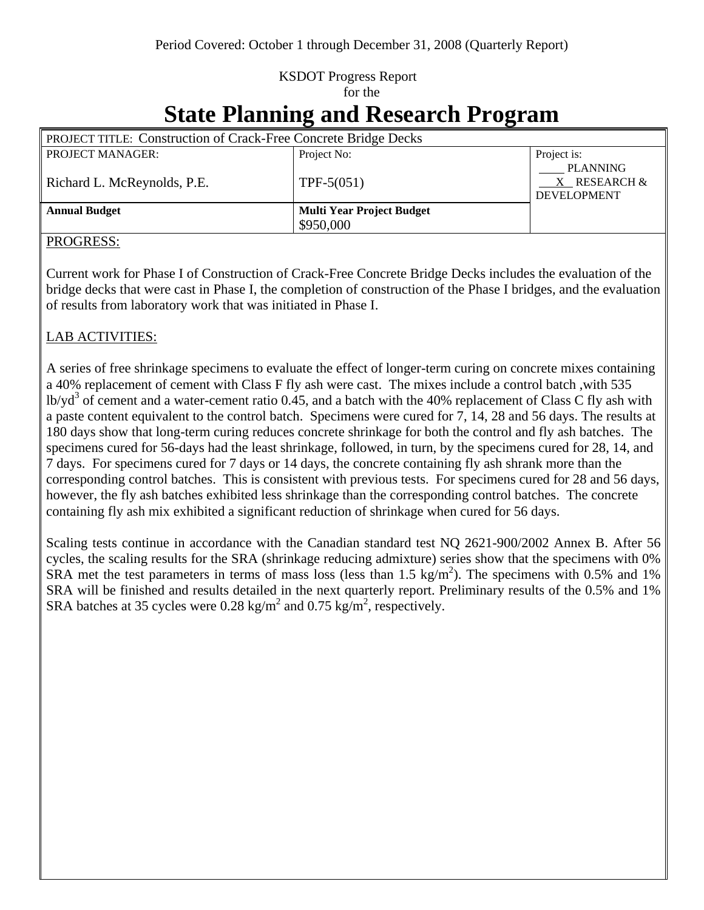## KSDOT Progress Report for the

# **State Planning and Research Program**

| <b>PROJECT TITLE: Construction of Crack-Free Concrete Bridge Decks</b> |                                  |                                                |
|------------------------------------------------------------------------|----------------------------------|------------------------------------------------|
| <b>PROJECT MANAGER:</b>                                                | Project No:                      | Project is:                                    |
| Richard L. McReynolds, P.E.                                            | $TPF-5(051)$                     | PLANNING<br>X RESEARCH &<br><b>DEVELOPMENT</b> |
| <b>Annual Budget</b>                                                   | <b>Multi Year Project Budget</b> |                                                |
|                                                                        | \$950,000                        |                                                |

#### PROGRESS:

Current work for Phase I of Construction of Crack-Free Concrete Bridge Decks includes the evaluation of the bridge decks that were cast in Phase I, the completion of construction of the Phase I bridges, and the evaluation of results from laboratory work that was initiated in Phase I.

#### LAB ACTIVITIES:

A series of free shrinkage specimens to evaluate the effect of longer-term curing on concrete mixes containing a 40% replacement of cement with Class F fly ash were cast. The mixes include a control batch ,with 535 lb/yd<sup>3</sup> of cement and a water-cement ratio 0.45, and a batch with the 40% replacement of Class C fly ash with a paste content equivalent to the control batch. Specimens were cured for 7, 14, 28 and 56 days. The results at 180 days show that long-term curing reduces concrete shrinkage for both the control and fly ash batches. The specimens cured for 56-days had the least shrinkage, followed, in turn, by the specimens cured for 28, 14, and 7 days. For specimens cured for 7 days or 14 days, the concrete containing fly ash shrank more than the corresponding control batches. This is consistent with previous tests. For specimens cured for 28 and 56 days, however, the fly ash batches exhibited less shrinkage than the corresponding control batches. The concrete containing fly ash mix exhibited a significant reduction of shrinkage when cured for 56 days.

Scaling tests continue in accordance with the Canadian standard test NQ 2621-900/2002 Annex B. After 56 cycles, the scaling results for the SRA (shrinkage reducing admixture) series show that the specimens with 0% SRA met the test parameters in terms of mass loss (less than  $1.5 \text{ kg/m}^2$ ). The specimens with 0.5% and 1% SRA will be finished and results detailed in the next quarterly report. Preliminary results of the 0.5% and 1% SRA batches at 35 cycles were 0.28 kg/m<sup>2</sup> and 0.75 kg/m<sup>2</sup>, respectively.